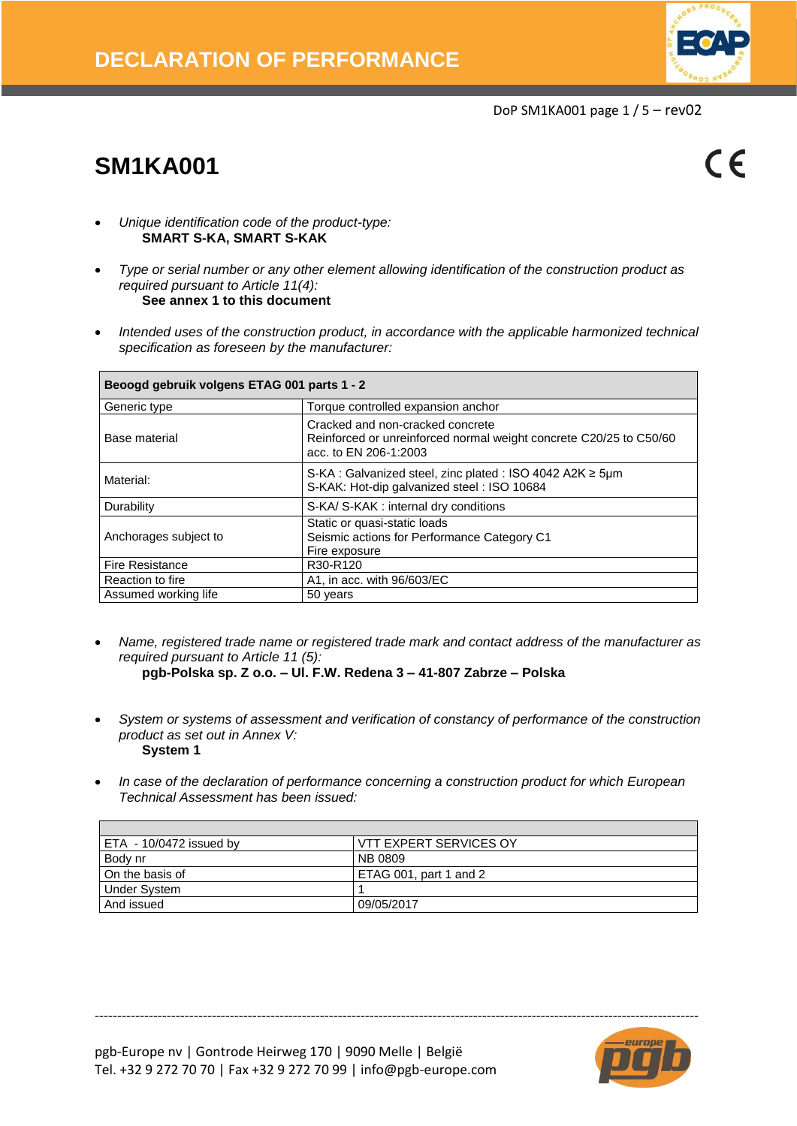

DoP SM1KA001 page 1 / 5 – rev02

# **SM1KA001**

 $\epsilon$ 

- *Unique identification code of the product-type:* **SMART S-KA, SMART S-KAK**
- *Type or serial number or any other element allowing identification of the construction product as required pursuant to Article 11(4):* **See annex 1 to this document**
- *Intended uses of the construction product, in accordance with the applicable harmonized technical specification as foreseen by the manufacturer:*

| Beoogd gebruik volgens ETAG 001 parts 1 - 2 |                                                                                                                                 |  |  |  |  |  |  |  |
|---------------------------------------------|---------------------------------------------------------------------------------------------------------------------------------|--|--|--|--|--|--|--|
| Generic type                                | Torque controlled expansion anchor                                                                                              |  |  |  |  |  |  |  |
| Base material                               | Cracked and non-cracked concrete<br>Reinforced or unreinforced normal weight concrete C20/25 to C50/60<br>acc. to EN 206-1:2003 |  |  |  |  |  |  |  |
| Material:                                   | S-KA : Galvanized steel, zinc plated : ISO 4042 A2K $\geq$ 5um<br>S-KAK: Hot-dip galvanized steel: ISO 10684                    |  |  |  |  |  |  |  |
| Durability                                  | S-KA/ S-KAK: internal dry conditions                                                                                            |  |  |  |  |  |  |  |
| Anchorages subject to                       | Static or quasi-static loads<br>Seismic actions for Performance Category C1<br>Fire exposure                                    |  |  |  |  |  |  |  |
| <b>Fire Resistance</b>                      | R30-R120                                                                                                                        |  |  |  |  |  |  |  |
| Reaction to fire                            | A1, in acc. with 96/603/EC                                                                                                      |  |  |  |  |  |  |  |
| Assumed working life                        | 50 years                                                                                                                        |  |  |  |  |  |  |  |

• *Name, registered trade name or registered trade mark and contact address of the manufacturer as required pursuant to Article 11 (5):*

**pgb-Polska sp. Z o.o. – Ul. F.W. Redena 3 – 41-807 Zabrze – Polska**

- *System or systems of assessment and verification of constancy of performance of the construction product as set out in Annex V:* **System 1**
- *In case of the declaration of performance concerning a construction product for which European Technical Assessment has been issued:*

| ETA - 10/0472 issued by | VTT EXPERT SERVICES OY |
|-------------------------|------------------------|
| Body nr                 | NB 0809                |
| I On the basis of       | ETAG 001, part 1 and 2 |
| Under System            |                        |
| And issued              | 09/05/2017             |

--------------------------------------------------------------------------------------------------------------------------------------

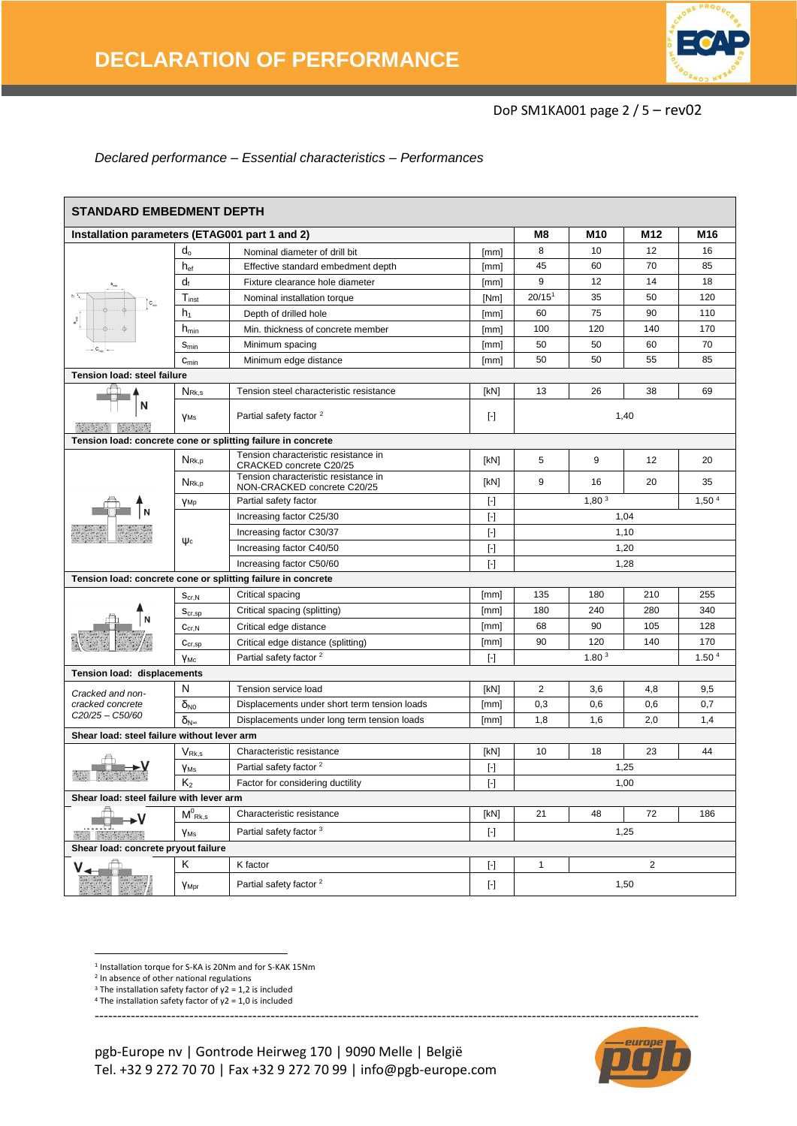

#### DoP SM1KA001 page 2 / 5 – rev02

#### *Declared performance – Essential characteristics – Performances*

| <b>STANDARD EMBEDMENT DEPTH</b>                                                                                                                                                                                                                                                                                                                                                                                                                                                                              |                                       |                                                                     |                                                                                                                                                                                                                                                                                                                                                                                                                                                                                                                                                                                                                                                                                                                                                                                                                                                                                          |                                        |     |                 |     |  |  |
|--------------------------------------------------------------------------------------------------------------------------------------------------------------------------------------------------------------------------------------------------------------------------------------------------------------------------------------------------------------------------------------------------------------------------------------------------------------------------------------------------------------|---------------------------------------|---------------------------------------------------------------------|------------------------------------------------------------------------------------------------------------------------------------------------------------------------------------------------------------------------------------------------------------------------------------------------------------------------------------------------------------------------------------------------------------------------------------------------------------------------------------------------------------------------------------------------------------------------------------------------------------------------------------------------------------------------------------------------------------------------------------------------------------------------------------------------------------------------------------------------------------------------------------------|----------------------------------------|-----|-----------------|-----|--|--|
| Installation parameters (ETAG001 part 1 and 2)                                                                                                                                                                                                                                                                                                                                                                                                                                                               |                                       |                                                                     |                                                                                                                                                                                                                                                                                                                                                                                                                                                                                                                                                                                                                                                                                                                                                                                                                                                                                          | M8                                     | M10 | M <sub>12</sub> | M16 |  |  |
|                                                                                                                                                                                                                                                                                                                                                                                                                                                                                                              | $d_{o}$                               | Nominal diameter of drill bit                                       | [mm]                                                                                                                                                                                                                                                                                                                                                                                                                                                                                                                                                                                                                                                                                                                                                                                                                                                                                     | 8                                      | 10  | 12              | 16  |  |  |
|                                                                                                                                                                                                                                                                                                                                                                                                                                                                                                              | $h_{ef}$                              | Effective standard embedment depth                                  | [mm]                                                                                                                                                                                                                                                                                                                                                                                                                                                                                                                                                                                                                                                                                                                                                                                                                                                                                     | 45                                     | 60  | 70              | 85  |  |  |
|                                                                                                                                                                                                                                                                                                                                                                                                                                                                                                              | $d_f$                                 | Fixture clearance hole diameter                                     | [mm]                                                                                                                                                                                                                                                                                                                                                                                                                                                                                                                                                                                                                                                                                                                                                                                                                                                                                     | 9                                      | 12  | 14              | 18  |  |  |
|                                                                                                                                                                                                                                                                                                                                                                                                                                                                                                              | $T_{inst}$                            | Nominal installation torque                                         | [Nm]                                                                                                                                                                                                                                                                                                                                                                                                                                                                                                                                                                                                                                                                                                                                                                                                                                                                                     | 20/15 <sup>1</sup>                     | 35  | 50              | 120 |  |  |
|                                                                                                                                                                                                                                                                                                                                                                                                                                                                                                              | h <sub>1</sub>                        | Depth of drilled hole                                               | [mm]                                                                                                                                                                                                                                                                                                                                                                                                                                                                                                                                                                                                                                                                                                                                                                                                                                                                                     | 60                                     | 75  | 90              | 110 |  |  |
|                                                                                                                                                                                                                                                                                                                                                                                                                                                                                                              | $h_{\text{min}}$                      | Min. thickness of concrete member                                   | [mm]                                                                                                                                                                                                                                                                                                                                                                                                                                                                                                                                                                                                                                                                                                                                                                                                                                                                                     | 100                                    | 120 | 140             | 170 |  |  |
|                                                                                                                                                                                                                                                                                                                                                                                                                                                                                                              | $S_{\text{min}}$                      | Minimum spacing                                                     | [mm]                                                                                                                                                                                                                                                                                                                                                                                                                                                                                                                                                                                                                                                                                                                                                                                                                                                                                     | 50                                     | 50  | 60              | 70  |  |  |
|                                                                                                                                                                                                                                                                                                                                                                                                                                                                                                              | $C_{min}$                             | Minimum edge distance                                               | [mm]                                                                                                                                                                                                                                                                                                                                                                                                                                                                                                                                                                                                                                                                                                                                                                                                                                                                                     | 50                                     | 50  | 55              | 85  |  |  |
| Tension load: steel failure                                                                                                                                                                                                                                                                                                                                                                                                                                                                                  |                                       |                                                                     |                                                                                                                                                                                                                                                                                                                                                                                                                                                                                                                                                                                                                                                                                                                                                                                                                                                                                          |                                        |     |                 |     |  |  |
|                                                                                                                                                                                                                                                                                                                                                                                                                                                                                                              | NR <sub>k,s</sub>                     | Tension steel characteristic resistance                             | [kN]                                                                                                                                                                                                                                                                                                                                                                                                                                                                                                                                                                                                                                                                                                                                                                                                                                                                                     | 13                                     | 26  | 38              | 69  |  |  |
| N                                                                                                                                                                                                                                                                                                                                                                                                                                                                                                            | <b>VMs</b>                            | Partial safety factor <sup>2</sup>                                  | $[\cdot]$                                                                                                                                                                                                                                                                                                                                                                                                                                                                                                                                                                                                                                                                                                                                                                                                                                                                                |                                        |     |                 |     |  |  |
| Tension load: concrete cone or splitting failure in concrete                                                                                                                                                                                                                                                                                                                                                                                                                                                 |                                       |                                                                     |                                                                                                                                                                                                                                                                                                                                                                                                                                                                                                                                                                                                                                                                                                                                                                                                                                                                                          |                                        |     |                 |     |  |  |
|                                                                                                                                                                                                                                                                                                                                                                                                                                                                                                              | N <sub>Rk,p</sub>                     | Tension characteristic resistance in<br>CRACKED concrete C20/25     | [kN]                                                                                                                                                                                                                                                                                                                                                                                                                                                                                                                                                                                                                                                                                                                                                                                                                                                                                     | 5                                      | 9   | 12              | 20  |  |  |
|                                                                                                                                                                                                                                                                                                                                                                                                                                                                                                              | N <sub>Rk,p</sub>                     | Tension characteristic resistance in<br>NON-CRACKED concrete C20/25 | [kN]                                                                                                                                                                                                                                                                                                                                                                                                                                                                                                                                                                                                                                                                                                                                                                                                                                                                                     | 9                                      | 16  | 20              | 35  |  |  |
|                                                                                                                                                                                                                                                                                                                                                                                                                                                                                                              | YMp                                   | Partial safety factor                                               | $[\cdot]$                                                                                                                                                                                                                                                                                                                                                                                                                                                                                                                                                                                                                                                                                                                                                                                                                                                                                | 1,80 <sup>3</sup><br>1,50 <sup>4</sup> |     |                 |     |  |  |
|                                                                                                                                                                                                                                                                                                                                                                                                                                                                                                              |                                       | Increasing factor C25/30                                            | $[\cdot]$                                                                                                                                                                                                                                                                                                                                                                                                                                                                                                                                                                                                                                                                                                                                                                                                                                                                                |                                        |     | 1.04            |     |  |  |
|                                                                                                                                                                                                                                                                                                                                                                                                                                                                                                              | $\psi_c$                              | Increasing factor C30/37                                            | $[\cdot]$                                                                                                                                                                                                                                                                                                                                                                                                                                                                                                                                                                                                                                                                                                                                                                                                                                                                                |                                        |     | 1,10            |     |  |  |
|                                                                                                                                                                                                                                                                                                                                                                                                                                                                                                              |                                       | Increasing factor C40/50                                            | $[\cdot] % \centering \includegraphics[width=0.9\textwidth]{images/TrDiM-Architecture.png} % \caption{The first two different values of $S$ and $S$ is the same as in Figure \ref{fig:10}. The first two different values of $S$ is the same as in Figure \ref{fig:10}. The second two different values of $S$ is the same as in Figure \ref{fig:10}.} \label{fig:TrDiM-Architecture}$                                                                                                                                                                                                                                                                                                                                                                                                                                                                                                   |                                        |     | 1,20            |     |  |  |
|                                                                                                                                                                                                                                                                                                                                                                                                                                                                                                              |                                       | Increasing factor C50/60                                            | $[\cdot]$                                                                                                                                                                                                                                                                                                                                                                                                                                                                                                                                                                                                                                                                                                                                                                                                                                                                                | 1,28                                   |     |                 |     |  |  |
|                                                                                                                                                                                                                                                                                                                                                                                                                                                                                                              |                                       | Tension load: concrete cone or splitting failure in concrete        |                                                                                                                                                                                                                                                                                                                                                                                                                                                                                                                                                                                                                                                                                                                                                                                                                                                                                          |                                        |     |                 |     |  |  |
|                                                                                                                                                                                                                                                                                                                                                                                                                                                                                                              | $S_{\text{cr,N}}$                     | Critical spacing                                                    | [mm]                                                                                                                                                                                                                                                                                                                                                                                                                                                                                                                                                                                                                                                                                                                                                                                                                                                                                     | 135                                    | 180 | 210             | 255 |  |  |
|                                                                                                                                                                                                                                                                                                                                                                                                                                                                                                              | $S_{cr,sp}$                           | Critical spacing (splitting)                                        | [mm]                                                                                                                                                                                                                                                                                                                                                                                                                                                                                                                                                                                                                                                                                                                                                                                                                                                                                     | 180                                    | 240 | 280             | 340 |  |  |
|                                                                                                                                                                                                                                                                                                                                                                                                                                                                                                              | $C_{cr,N}$                            | Critical edge distance                                              | [mm]                                                                                                                                                                                                                                                                                                                                                                                                                                                                                                                                                                                                                                                                                                                                                                                                                                                                                     | 68                                     | 90  | 105             | 128 |  |  |
|                                                                                                                                                                                                                                                                                                                                                                                                                                                                                                              | $\mathbf{C}_{cr,sp}$                  | Critical edge distance (splitting)                                  | [mm]                                                                                                                                                                                                                                                                                                                                                                                                                                                                                                                                                                                                                                                                                                                                                                                                                                                                                     | 90                                     | 120 | 140             | 170 |  |  |
|                                                                                                                                                                                                                                                                                                                                                                                                                                                                                                              | Үмс                                   | Partial safety factor <sup>2</sup>                                  | $[\cdot]$                                                                                                                                                                                                                                                                                                                                                                                                                                                                                                                                                                                                                                                                                                                                                                                                                                                                                | 1.80 <sup>3</sup><br>1.50 <sup>4</sup> |     |                 |     |  |  |
| Tension load: displacements                                                                                                                                                                                                                                                                                                                                                                                                                                                                                  |                                       |                                                                     |                                                                                                                                                                                                                                                                                                                                                                                                                                                                                                                                                                                                                                                                                                                                                                                                                                                                                          |                                        |     |                 |     |  |  |
| Cracked and non-                                                                                                                                                                                                                                                                                                                                                                                                                                                                                             | N                                     | Tension service load                                                | [kN]                                                                                                                                                                                                                                                                                                                                                                                                                                                                                                                                                                                                                                                                                                                                                                                                                                                                                     | 2                                      | 3,6 | 4,8             | 9,5 |  |  |
| cracked concrete                                                                                                                                                                                                                                                                                                                                                                                                                                                                                             | $\delta_{N0}$                         | Displacements under short term tension loads                        | [mm]                                                                                                                                                                                                                                                                                                                                                                                                                                                                                                                                                                                                                                                                                                                                                                                                                                                                                     | 0,3                                    | 0,6 | 0,6             | 0,7 |  |  |
| C20/25-C50/60                                                                                                                                                                                                                                                                                                                                                                                                                                                                                                | $\delta_{N^{\infty}}$                 | Displacements under long term tension loads                         | [mm]                                                                                                                                                                                                                                                                                                                                                                                                                                                                                                                                                                                                                                                                                                                                                                                                                                                                                     | 1.8                                    | 1,6 | 2,0             | 1,4 |  |  |
| Shear load: steel failure without lever arm                                                                                                                                                                                                                                                                                                                                                                                                                                                                  |                                       |                                                                     |                                                                                                                                                                                                                                                                                                                                                                                                                                                                                                                                                                                                                                                                                                                                                                                                                                                                                          |                                        |     |                 |     |  |  |
|                                                                                                                                                                                                                                                                                                                                                                                                                                                                                                              | $\mathsf{V}_{\mathsf{Rk}.\mathsf{s}}$ | Characteristic resistance                                           | [kN]                                                                                                                                                                                                                                                                                                                                                                                                                                                                                                                                                                                                                                                                                                                                                                                                                                                                                     | 10                                     | 18  | 23              | 44  |  |  |
|                                                                                                                                                                                                                                                                                                                                                                                                                                                                                                              | Y <sub>Ms</sub>                       | Partial safety factor <sup>2</sup>                                  | $[\cdot] % \centering \includegraphics[width=0.9\textwidth]{images/TrDiM-Architecture.png} % \caption{The first two different values of $S$ and $S$ are shown in the left, the first two different values of $S$ and $S$ are shown in the right, and the second two different values of $S$ are shown in the right, and the second two different values of $S$ are shown in the right, and the second two different values of $S$ are shown in the right, and the third two different values of $S$ are shown in the right, and the third two different values of $S$ are shown in the right, and the third two different values of $S$ are shown in the right, and the third two different values of $S$ are shown in the right, and the third two different values of $S$ are shown in the right, and the third two different values of $S$ are shown in the right, and the third two$ | 1.25                                   |     |                 |     |  |  |
|                                                                                                                                                                                                                                                                                                                                                                                                                                                                                                              | K <sub>2</sub>                        | Factor for considering ductility                                    | $[\cdot]$                                                                                                                                                                                                                                                                                                                                                                                                                                                                                                                                                                                                                                                                                                                                                                                                                                                                                |                                        |     | 1,00            |     |  |  |
| Shear load: steel failure with lever arm                                                                                                                                                                                                                                                                                                                                                                                                                                                                     |                                       |                                                                     |                                                                                                                                                                                                                                                                                                                                                                                                                                                                                                                                                                                                                                                                                                                                                                                                                                                                                          |                                        |     |                 |     |  |  |
| ٠V                                                                                                                                                                                                                                                                                                                                                                                                                                                                                                           | $M^0_{\ Rk,s}$                        | Characteristic resistance                                           | [kN]                                                                                                                                                                                                                                                                                                                                                                                                                                                                                                                                                                                                                                                                                                                                                                                                                                                                                     | 21                                     | 48  | 72              | 186 |  |  |
| $\label{eq:3.1} \begin{array}{l} \begin{array}{l} \begin{array}{l} \begin{array}{l} \end{array} & \begin{array}{l} \end{array} & \begin{array}{l} \end{array} & \begin{array}{l} \end{array} & \begin{array}{l} \end{array} & \begin{array}{l} \end{array} & \begin{array}{l} \end{array} & \begin{array}{l} \end{array} & \begin{array}{l} \end{array} & \begin{array}{l} \end{array} & \begin{array}{l} \end{array} & \begin{array}{l} \end{array} & \begin{array}{l} \end{array} \end{array} \end{array}$ | <b>YMs</b>                            | Partial safety factor 3                                             | $[\cdot]$                                                                                                                                                                                                                                                                                                                                                                                                                                                                                                                                                                                                                                                                                                                                                                                                                                                                                |                                        |     | 1,25            |     |  |  |
| Shear load: concrete pryout failure                                                                                                                                                                                                                                                                                                                                                                                                                                                                          |                                       |                                                                     |                                                                                                                                                                                                                                                                                                                                                                                                                                                                                                                                                                                                                                                                                                                                                                                                                                                                                          |                                        |     |                 |     |  |  |
|                                                                                                                                                                                                                                                                                                                                                                                                                                                                                                              | Κ                                     | K factor                                                            | $[\cdot] % \centering \includegraphics[width=0.9\textwidth]{images/TrDiM-Architecture.png} % \caption{The first two different values of $S$ and $S$ are shown in the left, the first two different values of $S$ and $S$ are shown in the right, and the second two different values of $S$ are shown in the right, and the second two different values of $S$ are shown in the right, and the second two different values of $S$ are shown in the right, and the third two different values of $S$ are shown in the right, and the third two different values of $S$ are shown in the right, and the third two different values of $S$ are shown in the right, and the third two different values of $S$ are shown in the right, and the third two different values of $S$ are shown in the right, and the third two different values of $S$ are shown in the right, and the third two$ | $\mathbf{1}$                           |     | $\overline{2}$  |     |  |  |
|                                                                                                                                                                                                                                                                                                                                                                                                                                                                                                              | YMpr                                  | Partial safety factor <sup>2</sup>                                  | $[\cdot]$                                                                                                                                                                                                                                                                                                                                                                                                                                                                                                                                                                                                                                                                                                                                                                                                                                                                                |                                        |     | 1,50            |     |  |  |

1 Installation torque for S-KA is 20Nm and for S-KAK 15Nm

**.** 

<sup>&</sup>lt;sup>4</sup> The installation safety factor of  $γ2 = 1,0$  is included







<sup>&</sup>lt;sup>2</sup> In absence of other national regulations

<sup>&</sup>lt;sup>3</sup> The installation safety factor of  $γ2 = 1,2$  is included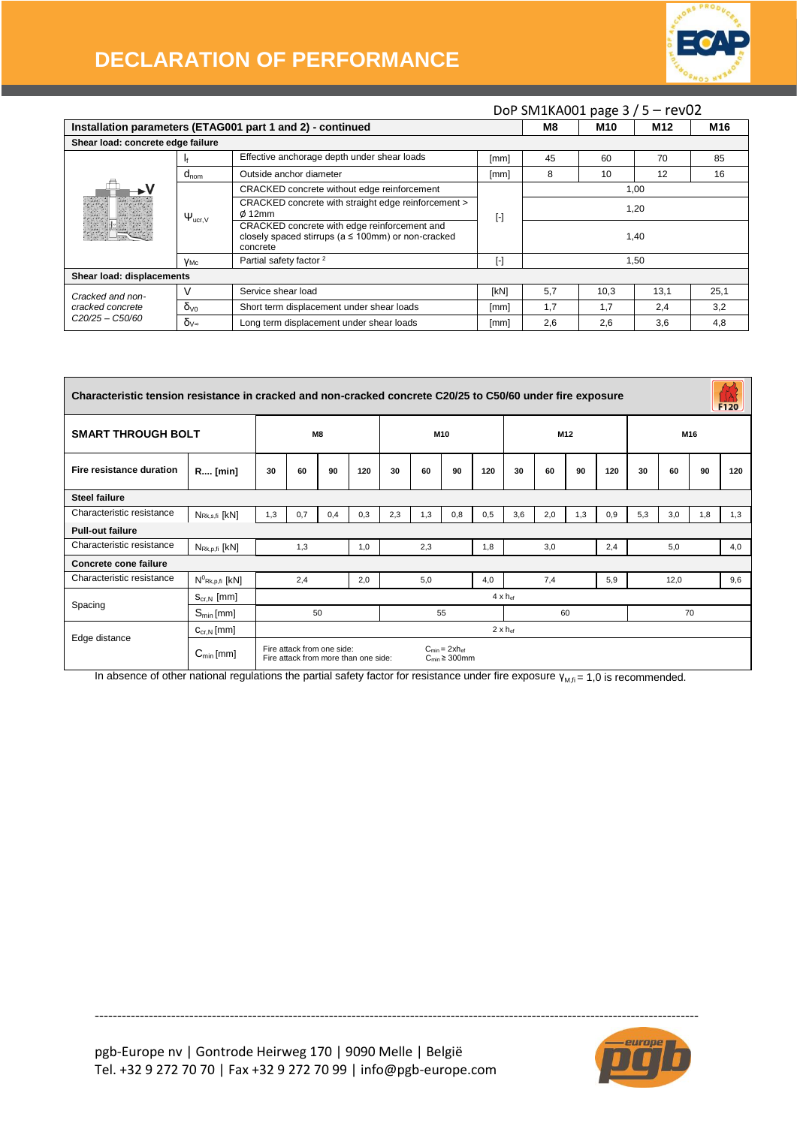

## **DECLARATION OF PERFORMANCE**

|                                           |                        |                                                                                                                      |                         |      |      | DoP SM1KA001 page 3 / 5 - rev02 |                 |  |  |
|-------------------------------------------|------------------------|----------------------------------------------------------------------------------------------------------------------|-------------------------|------|------|---------------------------------|-----------------|--|--|
|                                           |                        | Installation parameters (ETAG001 part 1 and 2) - continued                                                           |                         | M8   | M10  | M12                             | M <sub>16</sub> |  |  |
| Shear load: concrete edge failure         |                        |                                                                                                                      |                         |      |      |                                 |                 |  |  |
|                                           |                        | Effective anchorage depth under shear loads                                                                          | [mm]                    | 45   | 60   | 70                              | 85              |  |  |
|                                           | $d_{nom}$              | Outside anchor diameter                                                                                              | [mm]                    | 8    | 10   | 12                              | 16              |  |  |
|                                           |                        | CRACKED concrete without edge reinforcement                                                                          |                         | 1,00 |      |                                 |                 |  |  |
|                                           | $\Psi_{\text{ucr,V}}$  | CRACKED concrete with straight edge reinforcement ><br>$\phi$ 12mm                                                   | $[\cdot]$               | 1,20 |      |                                 |                 |  |  |
|                                           |                        | CRACKED concrete with edge reinforcement and<br>closely spaced stirrups ( $a \le 100$ mm) or non-cracked<br>concrete |                         | 1,40 |      |                                 |                 |  |  |
|                                           | Yмс                    | Partial safety factor <sup>2</sup>                                                                                   | $\lbrack \cdot \rbrack$ | 1,50 |      |                                 |                 |  |  |
| Shear load: displacements                 |                        |                                                                                                                      |                         |      |      |                                 |                 |  |  |
| Cracked and non-                          |                        | Service shear load                                                                                                   | [kN]                    | 5,7  | 10,3 | 13,1                            | 25,1            |  |  |
| cracked concrete                          | $\delta$ <sub>V0</sub> | Short term displacement under shear loads                                                                            | [mm]                    | 1.7  | 1.7  | 2.4                             | 3,2             |  |  |
| C <sub>20</sub> /25 - C <sub>50</sub> /60 | $\delta$ <sub>V</sub>  | Long term displacement under shear loads                                                                             | [mm]                    | 2,6  | 2,6  | 3,6                             | 4,8             |  |  |

| Characteristic tension resistance in cracked and non-cracked concrete C20/25 to C50/60 under fire exposure<br>F120 |                                  |     |                            |     |                                      |     |     |                                                                     |     |                          |          |                 |     |      |     |     |     |
|--------------------------------------------------------------------------------------------------------------------|----------------------------------|-----|----------------------------|-----|--------------------------------------|-----|-----|---------------------------------------------------------------------|-----|--------------------------|----------|-----------------|-----|------|-----|-----|-----|
| <b>SMART THROUGH BOLT</b>                                                                                          |                                  | M8  |                            |     | M10                                  |     |     | M <sub>12</sub>                                                     |     |                          |          | M <sub>16</sub> |     |      |     |     |     |
| Fire resistance duration                                                                                           | R [min]                          | 30  | 60                         | 90  | 120                                  | 30  | 60  | 90                                                                  | 120 | 30                       | 60       | 90              | 120 | 30   | 60  | 90  | 120 |
| <b>Steel failure</b>                                                                                               |                                  |     |                            |     |                                      |     |     |                                                                     |     |                          |          |                 |     |      |     |     |     |
| Characteristic resistance                                                                                          | $N_{Rk,s,\text{fi}}$ [kN]        | 1,3 | 0,7                        | 0,4 | 0,3                                  | 2,3 | 1,3 | 0,8                                                                 | 0,5 | 3.6                      | 2,0      | 1,3             | 0,9 | 5,3  | 3,0 | 1,8 | 1,3 |
| <b>Pull-out failure</b>                                                                                            |                                  |     |                            |     |                                      |     |     |                                                                     |     |                          |          |                 |     |      |     |     |     |
| Characteristic resistance                                                                                          | $N_{\text{Rk},p,\text{fi}}$ [kN] |     | 1,3                        |     | 1,0                                  |     | 2,3 |                                                                     | 1,8 | 3,0                      |          |                 | 2,4 | 5,0  |     |     | 4,0 |
| Concrete cone failure                                                                                              |                                  |     |                            |     |                                      |     |     |                                                                     |     |                          |          |                 |     |      |     |     |     |
| Characteristic resistance                                                                                          | $N^0$ <sub>Rk, p, fi</sub> [kN]  |     | 2,4                        |     | 2,0                                  |     | 5,0 |                                                                     | 4,0 | 7,4                      |          |                 | 5,9 | 12,0 |     |     | 9,6 |
| Spacing                                                                                                            | $S_{\text{cr.N}}$ [mm]           |     |                            |     |                                      |     |     |                                                                     |     | $4 \times h_{\text{ef}}$ |          |                 |     |      |     |     |     |
|                                                                                                                    | $S_{\text{min}}$ [mm]            |     |                            | 50  |                                      |     |     | 55                                                                  |     |                          | 60<br>70 |                 |     |      |     |     |     |
| Edge distance                                                                                                      | $C_{\text{cr},N}$ [mm]           |     |                            |     |                                      |     |     |                                                                     |     | $2 \times h$ ef          |          |                 |     |      |     |     |     |
|                                                                                                                    | $C_{min}[mm]$                    |     | Fire attack from one side: |     | Fire attack from more than one side: |     |     | $C_{\text{min}} = 2xh_{\text{eff}}$<br>$C_{\text{min}} \geq 300$ mm |     |                          |          |                 |     |      |     |     |     |

In absence of other national regulations the partial safety factor for resistance under fire exposure  $Y_{M,fi} = 1,0$  is recommended.

--------------------------------------------------------------------------------------------------------------------------------------

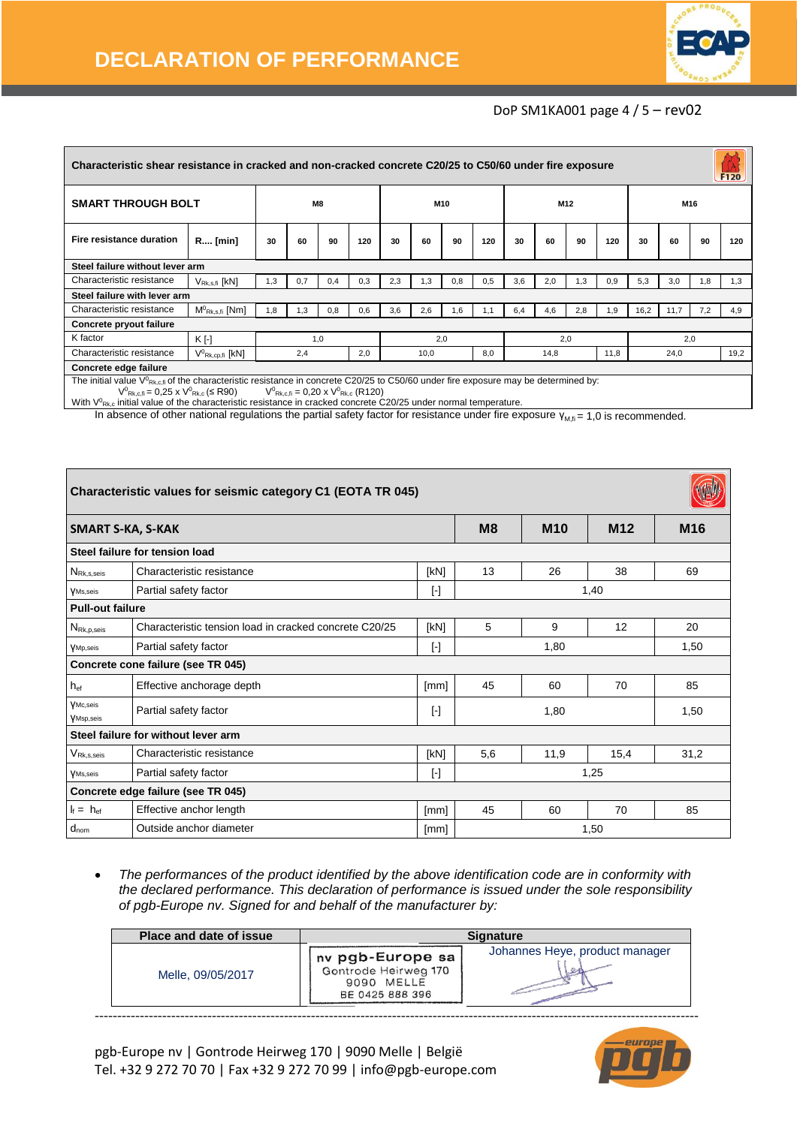

#### DoP SM1KA001 page 4 / 5 – rev02

| Characteristic shear resistance in cracked and non-cracked concrete C20/25 to C50/60 under fire exposure<br>F120                         |                                |     |     |     |     |     |      |                 |     |     |      |     |      |      |      |     |      |
|------------------------------------------------------------------------------------------------------------------------------------------|--------------------------------|-----|-----|-----|-----|-----|------|-----------------|-----|-----|------|-----|------|------|------|-----|------|
| <b>SMART THROUGH BOLT</b>                                                                                                                |                                | M8  |     |     | M10 |     |      | M <sub>12</sub> |     |     |      | M16 |      |      |      |     |      |
| Fire resistance duration                                                                                                                 | R [min]                        | 30  | 60  | 90  | 120 | 30  | 60   | 90              | 120 | 30  | 60   | 90  | 120  | 30   | 60   | 90  | 120  |
| Steel failure without lever arm                                                                                                          |                                |     |     |     |     |     |      |                 |     |     |      |     |      |      |      |     |      |
| Characteristic resistance                                                                                                                | $V_{Rk,s,fi}$ [ $kN$ ]         | 1,3 | 0.7 | 0,4 | 0,3 | 2,3 | 1,3  | 0,8             | 0,5 | 3,6 | 2,0  | 1,3 | 0,9  | 5,3  | 3,0  | 1,8 | 1,3  |
| Steel failure with lever arm                                                                                                             |                                |     |     |     |     |     |      |                 |     |     |      |     |      |      |      |     |      |
| Characteristic resistance                                                                                                                | $M^0$ <sub>Rk,s,fi</sub> [Nm]  | 1,8 | 1,3 | 0,8 | 0,6 | 3,6 | 2,6  | 1,6             | 1,1 | 6.4 | 4.6  | 2,8 | 1.9  | 16,2 | 11,7 | 7,2 | 4,9  |
| Concrete pryout failure                                                                                                                  |                                |     |     |     |     |     |      |                 |     |     |      |     |      |      |      |     |      |
| K factor                                                                                                                                 | $K$ [-]                        |     |     | 1,0 |     | 2,0 |      | 2,0             |     |     |      | 2,0 |      |      |      |     |      |
| Characteristic resistance                                                                                                                | $V^0$ <sub>Rk,cp,fi</sub> [kN] |     | 2,4 |     | 2,0 |     | 10,0 |                 | 8,0 |     | 14,8 |     | 11,8 |      | 24,0 |     | 19,2 |
| Concrete edge failure                                                                                                                    |                                |     |     |     |     |     |      |                 |     |     |      |     |      |      |      |     |      |
| The initial value $V^0_{Rk,c,f}$ of the characteristic resistance in concrete C20/25 to C50/60 under fire exposure may be determined by: |                                |     |     |     |     |     |      |                 |     |     |      |     |      |      |      |     |      |

 $V^{0}$ <sub>Rk,c,fi</sub> = 0,25 x  $V^{0}$ <sub>Rk,c</sub> (≤ R90)  $V^{0}$ <sub>Rk,c,fi</sub> = 0,20 x  $V^{0}$ <sub>Rk,c</sub> (R120)

With  $V_{Rk,c}$  initial value of the characteristic resistance in cracked concrete C20/25 under normal temperature.

In absence of other national regulations the partial safety factor for resistance under fire exposure  $\gamma_{M,fi} = 1,0$  is recommended.

| Characteristic values for seismic category C1 (EOTA TR 045) |                                                        |                         |            |                 |      |      |  |  |
|-------------------------------------------------------------|--------------------------------------------------------|-------------------------|------------|-----------------|------|------|--|--|
| <b>SMART S-KA, S-KAK</b>                                    |                                                        | M <sub>8</sub>          | <b>M10</b> | M <sub>12</sub> | M16  |      |  |  |
|                                                             | Steel failure for tension load                         |                         |            |                 |      |      |  |  |
| $N_{\text{Rk},\text{s,seis}}$                               | Characteristic resistance                              | [kN]                    | 13         | 26              | 38   | 69   |  |  |
| <b>VMs,seis</b>                                             | Partial safety factor<br>1,40<br>$[\cdot]$             |                         |            |                 |      |      |  |  |
| <b>Pull-out failure</b>                                     |                                                        |                         |            |                 |      |      |  |  |
| $N_{\mathsf{Rk},p,\mathsf{seis}}$                           | Characteristic tension load in cracked concrete C20/25 | [kN]                    | 5          | 9               | 12   | 20   |  |  |
| <b>YMp</b> , seis                                           | Partial safety factor                                  | $\lbrack \cdot \rbrack$ |            | 1,80            |      | 1,50 |  |  |
|                                                             | Concrete cone failure (see TR 045)                     |                         |            |                 |      |      |  |  |
| $h_{ef}$                                                    | Effective anchorage depth                              | [mm]                    | 45         | 60              | 70   | 85   |  |  |
| VMc, seis<br><b>VMsp,seis</b>                               | Partial safety factor                                  | $[\cdot]$               |            | 1,80            |      | 1,50 |  |  |
|                                                             | Steel failure for without lever arm                    |                         |            |                 |      |      |  |  |
| $V_{\mathsf{Rk},\mathsf{s},\mathsf{seis}}$                  | Characteristic resistance                              | [kN]                    | 5,6        | 11,9            | 15,4 | 31,2 |  |  |
| <b>VMs,seis</b>                                             | Partial safety factor                                  | $\lbrack \cdot \rbrack$ | 1,25       |                 |      |      |  |  |
|                                                             | Concrete edge failure (see TR 045)                     |                         |            |                 |      |      |  |  |
| $I_f = h_{\text{ef}}$                                       | Effective anchor length                                | [mm]                    | 45         | 60              | 70   | 85   |  |  |
| $d_{nom}$                                                   | Outside anchor diameter                                | [mm]                    |            |                 | 1,50 |      |  |  |

• *The performances of the product identified by the above identification code are in conformity with the declared performance. This declaration of performance is issued under the sole responsibility of pgb-Europe nv. Signed for and behalf of the manufacturer by:* 

| <b>Place and date of issue</b> |                                                                           | <b>Signature</b>               |
|--------------------------------|---------------------------------------------------------------------------|--------------------------------|
| Melle, 09/05/2017              | nv pgb-Europe sa<br>Gontrode Heirweg 170<br>9090 MELLE<br>BE 0425 888 396 | Johannes Heye, product manager |